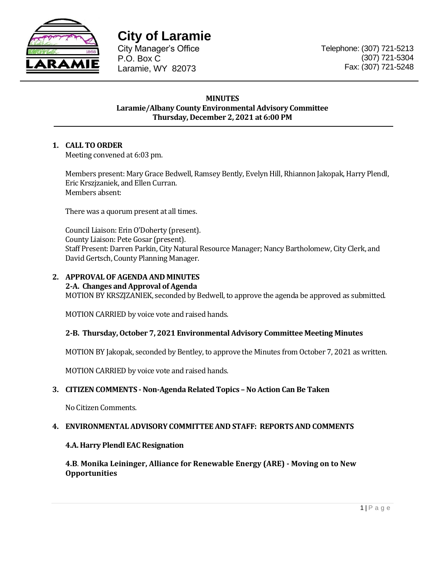

**City of Laramie** 

City Manager's Office P.O. Box C Laramie, WY 82073

## **MINUTES Laramie/Albany County Environmental Advisory Committee Thursday, December 2, 2021 at 6:00 PM**

# **1. CALL TO ORDER**

Meeting convened at 6:03 pm.

Members present: Mary Grace Bedwell, Ramsey Bently, Evelyn Hill, Rhiannon Jakopak, Harry Plendl, Eric Krszjzaniek, and Ellen Curran. Members absent:

There was a quorum present at all times.

Council Liaison: Erin O'Doherty (present). County Liaison: Pete Gosar (present). Staff Present: Darren Parkin, City Natural Resource Manager; Nancy Bartholomew, City Clerk, and David Gertsch, County Planning Manager.

## **2. APPROVAL OF AGENDA AND MINUTES**

# **2-A. Changes and Approval of Agenda**

MOTION BY KRSZJZANIEK, seconded by Bedwell, to approve the agenda be approved as submitted.

MOTION CARRIED by voice vote and raised hands.

## **2-B. Thursday, October 7, 2021 Environmental Advisory Committee Meeting Minutes**

MOTION BY Jakopak, seconded by Bentley, to approve the Minutes from October 7, 2021 as written.

MOTION CARRIED by voice vote and raised hands.

## **3. CITIZEN COMMENTS - Non-Agenda Related Topics – No Action Can Be Taken**

No Citizen Comments.

## **4. ENVIRONMENTAL ADVISORY COMMITTEE AND STAFF: REPORTS AND COMMENTS**

## **4.A. Harry Plendl EAC Resignation**

**4.B**. **Monika Leininger, Alliance for Renewable Energy (ARE) - Moving on to New Opportunities**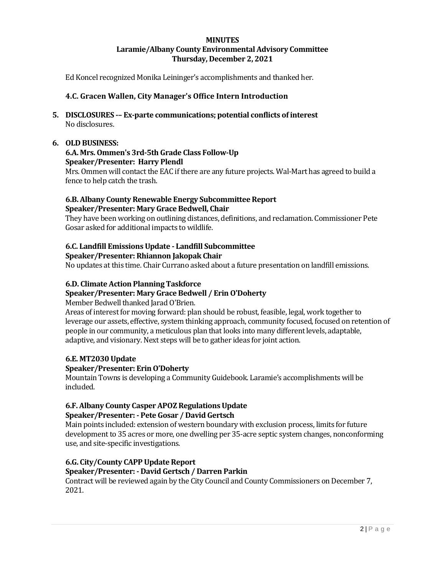## **MINUTES Laramie/Albany County Environmental Advisory Committee Thursday, December 2, 2021**

Ed Koncel recognized Monika Leininger's accomplishments and thanked her.

## **4.C. Gracen Wallen, City Manager's Office Intern Introduction**

**5. DISCLOSURES -– Ex-parte communications; potential conflicts of interest** No disclosures.

## **6. OLD BUSINESS:**

#### **6.A. Mrs. Ommen's 3rd-5th Grade Class Follow-Up Speaker/Presenter: Harry Plendl**

Mrs. Ommen will contact the EAC if there are any future projects. Wal-Mart has agreed to build a fence to help catch the trash.

#### **6.B. Albany County Renewable Energy Subcommittee Report Speaker/Presenter: Mary Grace Bedwell, Chair**

They have been working on outlining distances, definitions, and reclamation. Commissioner Pete Gosar asked for additional impacts to wildlife.

#### **6.C. Landfill Emissions Update - Landfill Subcommittee Speaker/Presenter: Rhiannon Jakopak Chair**

No updates at this time. Chair Currano asked about a future presentation on landfill emissions.

#### **6.D. Climate Action Planning Taskforce**

## **Speaker/Presenter: Mary Grace Bedwell / Erin O'Doherty**

Member Bedwell thanked Jarad O'Brien.

Areas of interest for moving forward: plan should be robust, feasible, legal, work together to leverage our assets, effective, system thinking approach, community focused, focused on retention of people in our community, a meticulous plan that looks into many different levels, adaptable, adaptive, and visionary. Next steps will be to gather ideas for joint action.

#### **6.E. MT2030 Update**

#### **Speaker/Presenter: Erin O'Doherty**

Mountain Towns is developing a Community Guidebook. Laramie's accomplishments will be included.

#### **6.F. Albany County Casper APOZ Regulations Update Speaker/Presenter: - Pete Gosar / David Gertsch**

Main points included: extension of western boundary with exclusion process, limits for future development to 35 acres or more, one dwelling per 35-acre septic system changes, nonconforming use, and site-specific investigations.

#### **6.G. City/County CAPP Update Report**

#### **Speaker/Presenter: - David Gertsch / Darren Parkin**

Contract will be reviewed again by the City Council and County Commissioners on December 7, 2021.